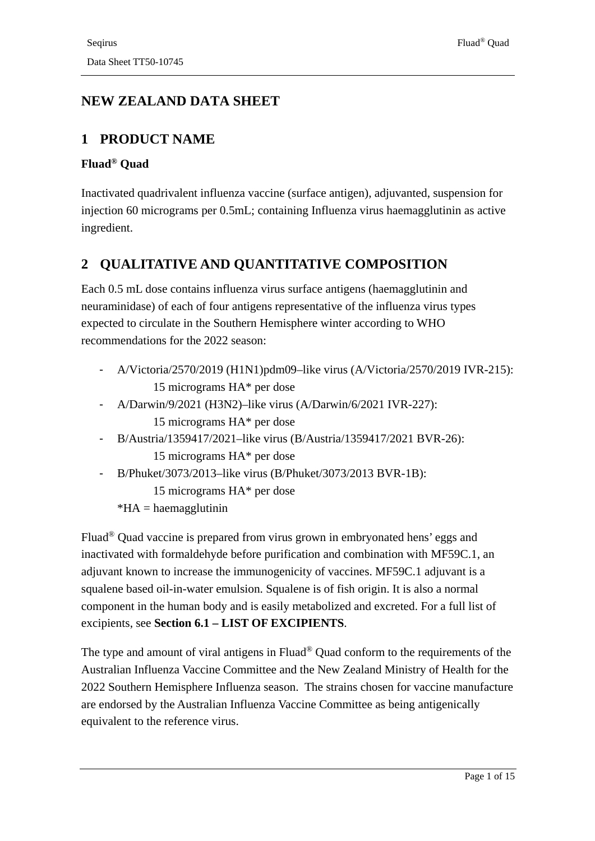# **NEW ZEALAND DATA SHEET**

### **1 PRODUCT NAME**

#### **Fluad® Quad**

Inactivated quadrivalent influenza vaccine (surface antigen), adjuvanted, suspension for injection 60 micrograms per 0.5mL; containing Influenza virus haemagglutinin as active ingredient.

## **2 QUALITATIVE AND QUANTITATIVE COMPOSITION**

Each 0.5 mL dose contains influenza virus surface antigens (haemagglutinin and neuraminidase) of each of four antigens representative of the influenza virus types expected to circulate in the Southern Hemisphere winter according to WHO recommendations for the 2022 season:

- A/Victoria/2570/2019 (H1N1)pdm09–like virus (A/Victoria/2570/2019 IVR-215): 15 micrograms HA\* per dose
- A/Darwin/9/2021 (H3N2)–like virus (A/Darwin/6/2021 IVR-227): 15 micrograms HA\* per dose
- B/Austria/1359417/2021–like virus (B/Austria/1359417/2021 BVR-26): 15 micrograms HA\* per dose
- B/Phuket/3073/2013–like virus (B/Phuket/3073/2013 BVR-1B): 15 micrograms HA\* per dose
	- $*HA = haemagglutinin$

Fluad® Quad vaccine is prepared from virus grown in embryonated hens' eggs and inactivated with formaldehyde before purification and combination with MF59C.1, an adjuvant known to increase the immunogenicity of vaccines. MF59C.1 adjuvant is a squalene based oil-in-water emulsion. Squalene is of fish origin. It is also a normal component in the human body and is easily metabolized and excreted. For a full list of excipients, see **Section 6.1 – [LIST OF EXCIPIENTS](#page-12-0)**.

The type and amount of viral antigens in Fluad® Quad conform to the requirements of the Australian Influenza Vaccine Committee and the New Zealand Ministry of Health for the 2022 Southern Hemisphere Influenza season. The strains chosen for vaccine manufacture are endorsed by the Australian Influenza Vaccine Committee as being antigenically equivalent to the reference virus.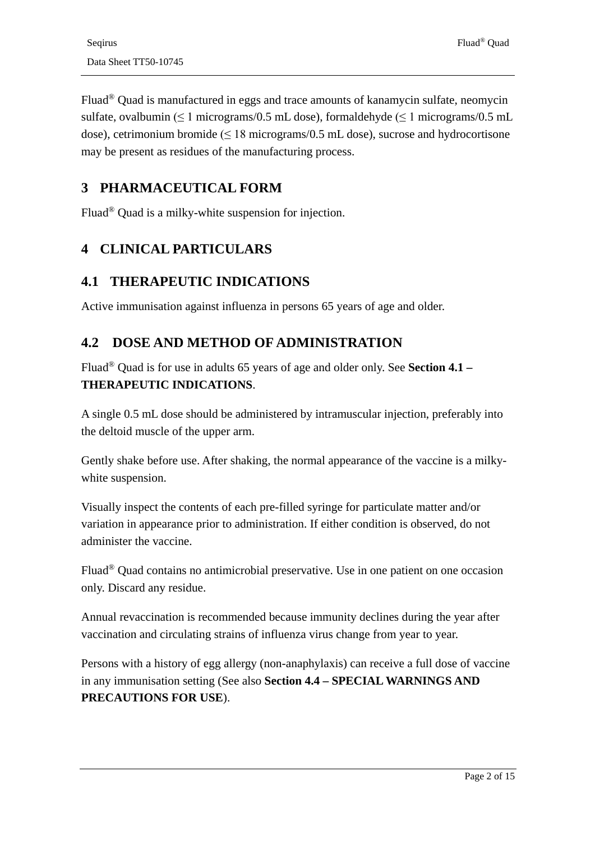Fluad® Quad is manufactured in eggs and trace amounts of kanamycin sulfate, neomycin sulfate, ovalbumin ( $\leq 1$  micrograms/0.5 mL dose), formaldehyde ( $\leq 1$  micrograms/0.5 mL dose), cetrimonium bromide ( $\leq 18$  micrograms/0.5 mL dose), sucrose and hydrocortisone may be present as residues of the manufacturing process.

### **3 PHARMACEUTICAL FORM**

Fluad® Quad is a milky-white suspension for injection.

### **4 CLINICAL PARTICULARS**

### <span id="page-1-0"></span>**4.1 THERAPEUTIC INDICATIONS**

Active immunisation against influenza in persons 65 years of age and older.

### **4.2 DOSE AND METHOD OF ADMINISTRATION**

Fluad® Quad is for use in adults 65 years of age and older only. See **Section 4.1 – [THERAPEUTIC INDICATIONS](#page-1-0)**.

A single 0.5 mL dose should be administered by intramuscular injection, preferably into the deltoid muscle of the upper arm.

Gently shake before use. After shaking, the normal appearance of the vaccine is a milkywhite suspension.

Visually inspect the contents of each pre-filled syringe for particulate matter and/or variation in appearance prior to administration. If either condition is observed, do not administer the vaccine.

Fluad® Quad contains no antimicrobial preservative. Use in one patient on one occasion only. Discard any residue.

Annual revaccination is recommended because immunity declines during the year after vaccination and circulating strains of influenza virus change from year to year.

Persons with a history of egg allergy (non-anaphylaxis) can receive a full dose of vaccine in any immunisation setting (See also **Section 4.4 – [SPECIAL WARNINGS AND](#page-2-0)  [PRECAUTIONS FOR USE](#page-2-0)**).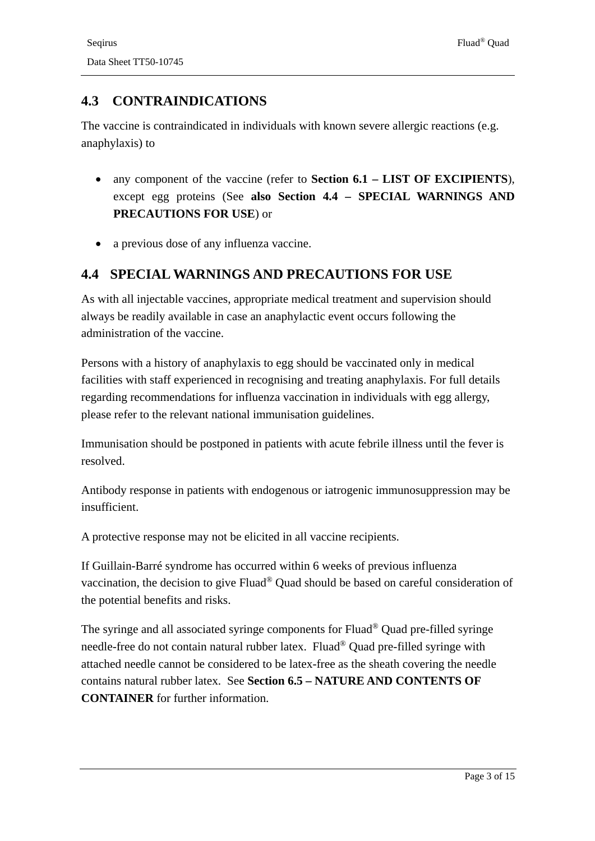## **4.3 CONTRAINDICATIONS**

The vaccine is contraindicated in individuals with known severe allergic reactions (e.g. anaphylaxis) to

- any component of the vaccine (refer to **Section 6.1 – [LIST OF EXCIPIENTS](#page-12-0)**), except egg proteins (See **also Section 4.4 – [SPECIAL WARNINGS AND](#page-2-0)  [PRECAUTIONS FOR USE](#page-2-0)**) or
- a previous dose of any influenza vaccine.

### <span id="page-2-0"></span>**4.4 SPECIAL WARNINGS AND PRECAUTIONS FOR USE**

As with all injectable vaccines, appropriate medical treatment and supervision should always be readily available in case an anaphylactic event occurs following the administration of the vaccine.

Persons with a history of anaphylaxis to egg should be vaccinated only in medical facilities with staff experienced in recognising and treating anaphylaxis. For full details regarding recommendations for influenza vaccination in individuals with egg allergy, please refer to the relevant national immunisation guidelines.

Immunisation should be postponed in patients with acute febrile illness until the fever is resolved.

Antibody response in patients with endogenous or iatrogenic immunosuppression may be insufficient.

A protective response may not be elicited in all vaccine recipients.

If Guillain-Barré syndrome has occurred within 6 weeks of previous influenza vaccination, the decision to give Fluad® Quad should be based on careful consideration of the potential benefits and risks.

The syringe and all associated syringe components for Fluad® Quad pre-filled syringe needle-free do not contain natural rubber latex. Fluad® Quad pre-filled syringe with attached needle cannot be considered to be latex-free as the sheath covering the needle contains natural rubber latex. See **Section 6.5 – [NATURE AND CONTENTS OF](#page-12-1)  [CONTAINER](#page-12-1)** for further information.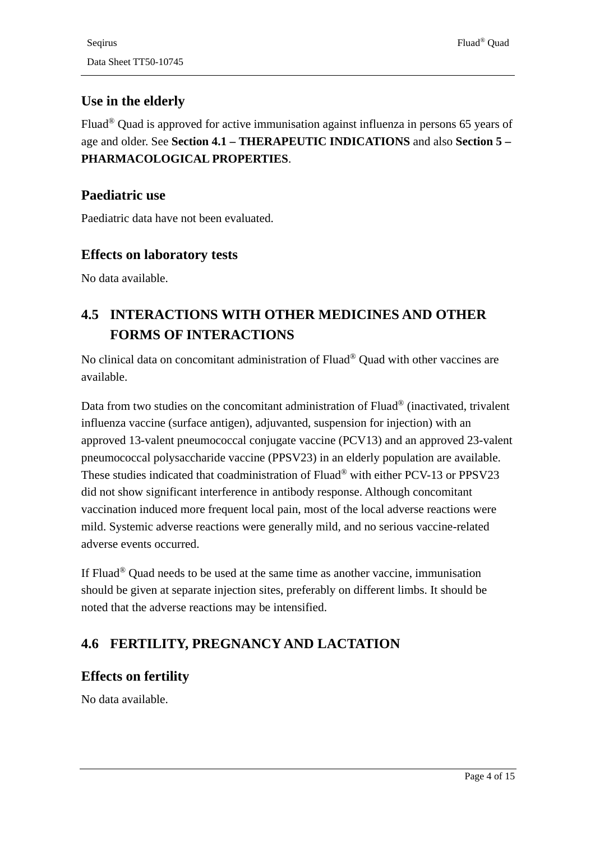## **Use in the elderly**

Fluad® Quad is approved for active immunisation against influenza in persons 65 years of age and older. See **Section 4.1 – [THERAPEUTIC INDICATIONS](#page-1-0)** and also **Section 5 – [PHARMACOLOGICAL PROPERTIES](#page-7-0)**.

### **Paediatric use**

Paediatric data have not been evaluated.

### **Effects on laboratory tests**

No data available.

# **4.5 INTERACTIONS WITH OTHER MEDICINES AND OTHER FORMS OF INTERACTIONS**

No clinical data on concomitant administration of Fluad® Quad with other vaccines are available.

Data from two studies on the concomitant administration of Fluad® (inactivated, trivalent influenza vaccine (surface antigen), adjuvanted, suspension for injection) with an approved 13-valent pneumococcal conjugate vaccine (PCV13) and an approved 23-valent pneumococcal polysaccharide vaccine (PPSV23) in an elderly population are available. These studies indicated that coadministration of Fluad® with either PCV-13 or PPSV23 did not show significant interference in antibody response. Although concomitant vaccination induced more frequent local pain, most of the local adverse reactions were mild. Systemic adverse reactions were generally mild, and no serious vaccine-related adverse events occurred.

If Fluad® Quad needs to be used at the same time as another vaccine, immunisation should be given at separate injection sites, preferably on different limbs. It should be noted that the adverse reactions may be intensified.

# <span id="page-3-0"></span>**4.6 FERTILITY, PREGNANCY AND LACTATION**

### **Effects on fertility**

No data available.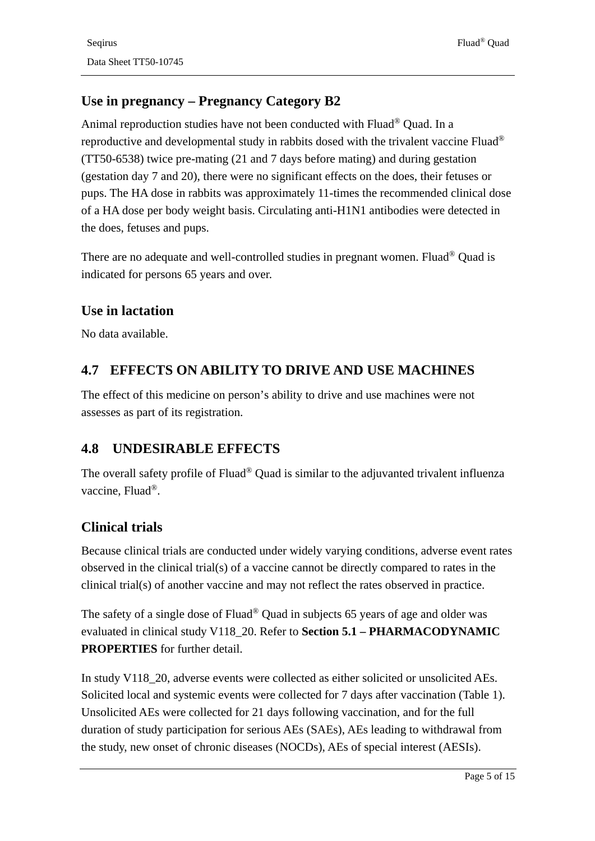## **Use in pregnancy – Pregnancy Category B2**

Animal reproduction studies have not been conducted with Fluad® Quad. In a reproductive and developmental study in rabbits dosed with the trivalent vaccine Fluad® (TT50-6538) twice pre-mating (21 and 7 days before mating) and during gestation (gestation day 7 and 20), there were no significant effects on the does, their fetuses or pups. The HA dose in rabbits was approximately 11-times the recommended clinical dose of a HA dose per body weight basis. Circulating anti-H1N1 antibodies were detected in the does, fetuses and pups.

There are no adequate and well-controlled studies in pregnant women. Fluad® Quad is indicated for persons 65 years and over.

### **Use in lactation**

No data available.

## **4.7 EFFECTS ON ABILITY TO DRIVE AND USE MACHINES**

The effect of this medicine on person's ability to drive and use machines were not assesses as part of its registration.

### **4.8 UNDESIRABLE EFFECTS**

The overall safety profile of Fluad<sup>®</sup> Quad is similar to the adjuvanted trivalent influenza vaccine, Fluad®.

### **Clinical trials**

Because clinical trials are conducted under widely varying conditions, adverse event rates observed in the clinical trial(s) of a vaccine cannot be directly compared to rates in the clinical trial(s) of another vaccine and may not reflect the rates observed in practice.

The safety of a single dose of Fluad® Quad in subjects 65 years of age and older was evaluated in clinical study V118\_20. Refer to **Section 5.1 – [PHARMACODYNAMIC](#page-7-1)  [PROPERTIES](#page-7-1)** for further detail.

In study V118\_20, adverse events were collected as either solicited or unsolicited AEs. Solicited local and systemic events were collected for 7 days after vaccination [\(Table 1\)](#page-5-0). Unsolicited AEs were collected for 21 days following vaccination, and for the full duration of study participation for serious AEs (SAEs), AEs leading to withdrawal from the study, new onset of chronic diseases (NOCDs), AEs of special interest (AESIs).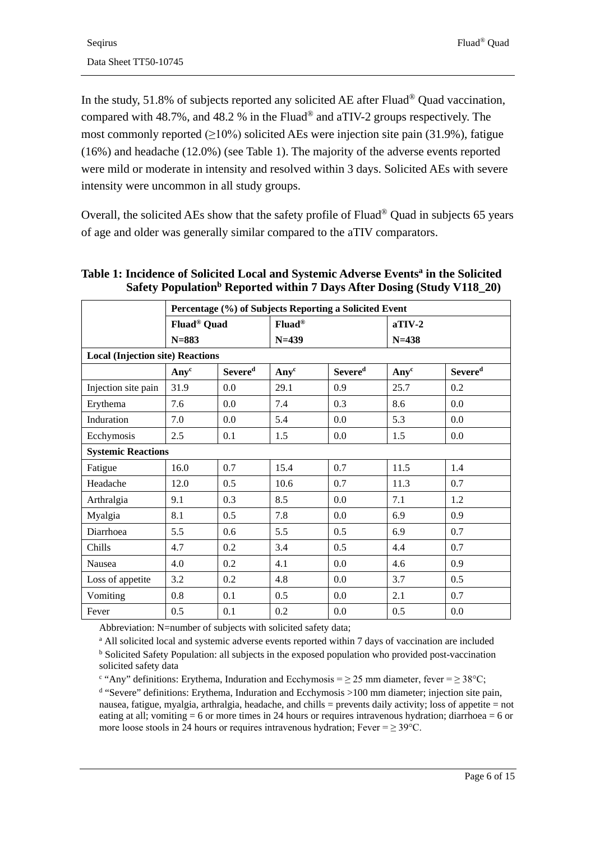In the study, 51.8% of subjects reported any solicited AE after Fluad® Quad vaccination, compared with 48.7%, and 48.2 % in the Fluad® and aTIV-2 groups respectively. The most commonly reported  $(≥10%)$  solicited AEs were injection site pain (31.9%), fatigue (16%) and headache (12.0%) (see [Table 1\)](#page-5-0). The majority of the adverse events reported were mild or moderate in intensity and resolved within 3 days. Solicited AEs with severe intensity were uncommon in all study groups.

Overall, the solicited AEs show that the safety profile of Fluad® Quad in subjects 65 years of age and older was generally similar compared to the aTIV comparators.

|                                         | Percentage (%) of Subjects Reporting a Solicited Event |                     |                                      |                     |                       |                     |  |  |
|-----------------------------------------|--------------------------------------------------------|---------------------|--------------------------------------|---------------------|-----------------------|---------------------|--|--|
|                                         | Fluad <sup>®</sup> Quad<br>$N = 883$                   |                     | <b>Fluad</b> <sup>®</sup><br>$N=439$ |                     | $aTIV-2$<br>$N = 438$ |                     |  |  |
|                                         |                                                        |                     |                                      |                     |                       |                     |  |  |
| <b>Local (Injection site) Reactions</b> |                                                        |                     |                                      |                     |                       |                     |  |  |
|                                         | Any <sup>c</sup>                                       | Severe <sup>d</sup> | Any <sup>c</sup>                     | Severe <sup>d</sup> | Any <sup>c</sup>      | Severe <sup>d</sup> |  |  |
| Injection site pain                     | 31.9                                                   | 0.0                 | 29.1                                 | 0.9                 | 25.7                  | 0.2                 |  |  |
| Erythema                                | 7.6                                                    | 0.0                 | 7.4                                  | 0.3                 | 8.6                   | 0.0                 |  |  |
| Induration                              | 7.0                                                    | 0.0                 | 5.4                                  | 0.0                 | 5.3                   | 0.0                 |  |  |
| Ecchymosis                              | 2.5                                                    | 0.1                 | 1.5                                  | 0.0                 | 1.5                   | 0.0                 |  |  |
| <b>Systemic Reactions</b>               |                                                        |                     |                                      |                     |                       |                     |  |  |
| Fatigue                                 | 16.0                                                   | 0.7                 | 15.4                                 | 0.7                 | 11.5                  | 1.4                 |  |  |
| Headache                                | 12.0                                                   | 0.5                 | 10.6                                 | 0.7                 | 11.3                  | 0.7                 |  |  |
| Arthralgia                              | 9.1                                                    | 0.3                 | 8.5                                  | 0.0                 | 7.1                   | 1.2                 |  |  |
| Myalgia                                 | 8.1                                                    | 0.5                 | 7.8                                  | 0.0                 | 6.9                   | 0.9                 |  |  |
| <b>Diarrhoea</b>                        | 5.5                                                    | 0.6                 | 5.5                                  | 0.5                 | 6.9                   | 0.7                 |  |  |
| Chills                                  | 4.7                                                    | 0.2                 | 3.4                                  | 0.5                 | 4.4                   | 0.7                 |  |  |
| Nausea                                  | 4.0                                                    | 0.2                 | 4.1                                  | 0.0                 | 4.6                   | 0.9                 |  |  |
| Loss of appetite                        | 3.2                                                    | 0.2                 | 4.8                                  | 0.0                 | 3.7                   | 0.5                 |  |  |
| Vomiting                                | 0.8                                                    | 0.1                 | 0.5                                  | 0.0                 | 2.1                   | 0.7                 |  |  |
| Fever                                   | 0.5                                                    | 0.1                 | 0.2                                  | 0.0                 | 0.5                   | 0.0                 |  |  |

<span id="page-5-0"></span>**Table 1: Incidence of Solicited Local and Systemic Adverse Eventsa in the Solicited Safety Population<sup>b</sup> Reported within 7 Days After Dosing (Study V118\_20)** 

Abbreviation: N=number of subjects with solicited safety data;

<sup>a</sup> All solicited local and systemic adverse events reported within 7 days of vaccination are included <sup>b</sup> Solicited Safety Population: all subjects in the exposed population who provided post-vaccination solicited safety data

<sup>c</sup> "Any" definitions: Erythema, Induration and Ecchymosis =  $\geq$  25 mm diameter, fever =  $\geq$  38°C;

<sup>d</sup> "Severe" definitions: Erythema, Induration and Ecchymosis >100 mm diameter; injection site pain, nausea, fatigue, myalgia, arthralgia, headache, and chills = prevents daily activity; loss of appetite = not eating at all; vomiting  $= 6$  or more times in 24 hours or requires intravenous hydration; diarrhoea  $= 6$  or more loose stools in 24 hours or requires intravenous hydration; Fever =  $\geq$  39 $^{\circ}$ C.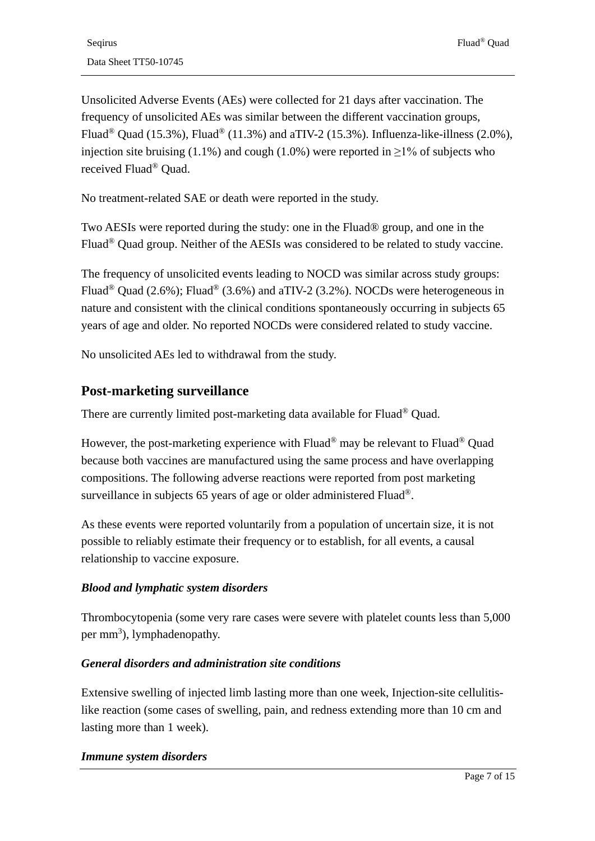Unsolicited Adverse Events (AEs) were collected for 21 days after vaccination. The frequency of unsolicited AEs was similar between the different vaccination groups, Fluad<sup>®</sup> Quad (15.3%), Fluad<sup>®</sup> (11.3%) and aTIV-2 (15.3%). Influenza-like-illness (2.0%), injection site bruising (1.1%) and cough (1.0%) were reported in  $\geq$ 1% of subjects who received Fluad® Quad.

No treatment-related SAE or death were reported in the study.

Two AESIs were reported during the study: one in the Fluad® group, and one in the Fluad® Quad group. Neither of the AESIs was considered to be related to study vaccine.

The frequency of unsolicited events leading to NOCD was similar across study groups: Fluad<sup>®</sup> Quad (2.6%); Fluad<sup>®</sup> (3.6%) and aTIV-2 (3.2%). NOCDs were heterogeneous in nature and consistent with the clinical conditions spontaneously occurring in subjects 65 years of age and older. No reported NOCDs were considered related to study vaccine.

No unsolicited AEs led to withdrawal from the study.

### **Post-marketing surveillance**

There are currently limited post-marketing data available for Fluad® Quad.

However, the post-marketing experience with Fluad® may be relevant to Fluad® Quad because both vaccines are manufactured using the same process and have overlapping compositions. The following adverse reactions were reported from post marketing surveillance in subjects 65 years of age or older administered Fluad<sup>®</sup>.

As these events were reported voluntarily from a population of uncertain size, it is not possible to reliably estimate their frequency or to establish, for all events, a causal relationship to vaccine exposure.

#### *Blood and lymphatic system disorders*

Thrombocytopenia (some very rare cases were severe with platelet counts less than 5,000 per mm<sup>3</sup>), lymphadenopathy.

#### *General disorders and administration site conditions*

Extensive swelling of injected limb lasting more than one week, Injection-site cellulitislike reaction (some cases of swelling, pain, and redness extending more than 10 cm and lasting more than 1 week).

#### *Immune system disorders*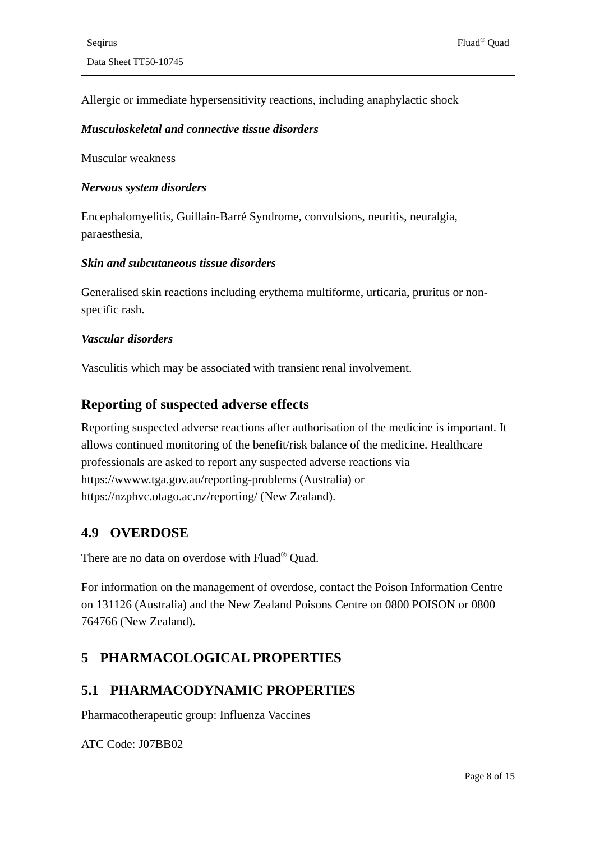Allergic or immediate hypersensitivity reactions, including anaphylactic shock

#### *Musculoskeletal and connective tissue disorders*

Muscular weakness

#### *Nervous system disorders*

Encephalomyelitis, Guillain-Barré Syndrome, convulsions, neuritis, neuralgia, paraesthesia,

#### *Skin and subcutaneous tissue disorders*

Generalised skin reactions including erythema multiforme, urticaria, pruritus or nonspecific rash.

#### *Vascular disorders*

Vasculitis which may be associated with transient renal involvement.

#### **Reporting of suspected adverse effects**

Reporting suspected adverse reactions after authorisation of the medicine is important. It allows continued monitoring of the benefit/risk balance of the medicine. Healthcare professionals are asked to report any suspected adverse reactions via https://wwww.tga.gov.au/reporting-problems (Australia) or https://nzphvc.otago.ac.nz/reporting/ (New Zealand).

#### **4.9 OVERDOSE**

There are no data on overdose with Fluad® Quad.

For information on the management of overdose, contact the Poison Information Centre on 131126 (Australia) and the New Zealand Poisons Centre on 0800 POISON or 0800 764766 (New Zealand).

### <span id="page-7-0"></span>**5 PHARMACOLOGICAL PROPERTIES**

### <span id="page-7-1"></span>**5.1 PHARMACODYNAMIC PROPERTIES**

Pharmacotherapeutic group: Influenza Vaccines

ATC Code: J07BB02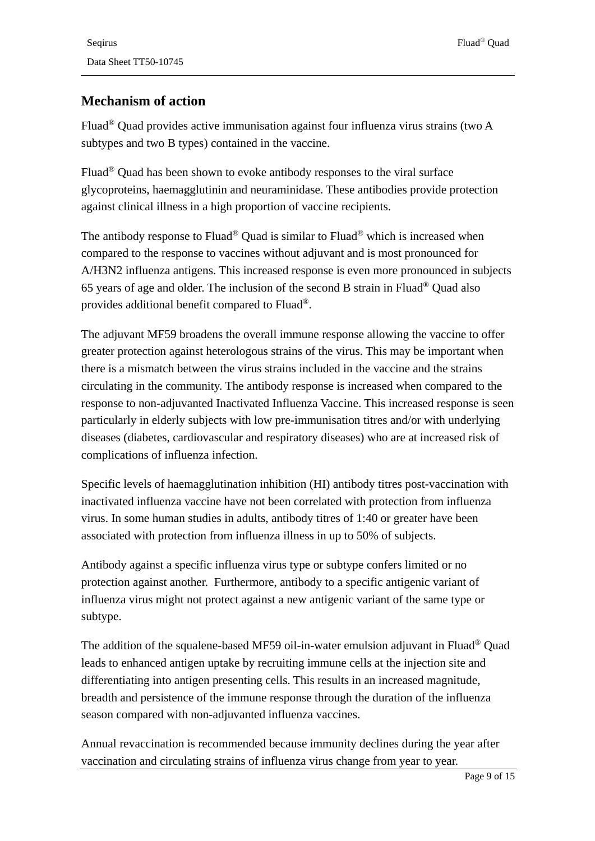### **Mechanism of action**

Fluad® Quad provides active immunisation against four influenza virus strains (two A subtypes and two B types) contained in the vaccine.

Fluad® Quad has been shown to evoke antibody responses to the viral surface glycoproteins, haemagglutinin and neuraminidase. These antibodies provide protection against clinical illness in a high proportion of vaccine recipients.

The antibody response to Fluad® Quad is similar to Fluad® which is increased when compared to the response to vaccines without adjuvant and is most pronounced for A/H3N2 influenza antigens. This increased response is even more pronounced in subjects 65 years of age and older. The inclusion of the second B strain in Fluad® Quad also provides additional benefit compared to Fluad®.

The adjuvant MF59 broadens the overall immune response allowing the vaccine to offer greater protection against heterologous strains of the virus. This may be important when there is a mismatch between the virus strains included in the vaccine and the strains circulating in the community. The antibody response is increased when compared to the response to non-adjuvanted Inactivated Influenza Vaccine. This increased response is seen particularly in elderly subjects with low pre-immunisation titres and/or with underlying diseases (diabetes, cardiovascular and respiratory diseases) who are at increased risk of complications of influenza infection.

Specific levels of haemagglutination inhibition (HI) antibody titres post-vaccination with inactivated influenza vaccine have not been correlated with protection from influenza virus. In some human studies in adults, antibody titres of 1:40 or greater have been associated with protection from influenza illness in up to 50% of subjects.

Antibody against a specific influenza virus type or subtype confers limited or no protection against another. Furthermore, antibody to a specific antigenic variant of influenza virus might not protect against a new antigenic variant of the same type or subtype.

The addition of the squalene-based MF59 oil-in-water emulsion adjuvant in Fluad® Quad leads to enhanced antigen uptake by recruiting immune cells at the injection site and differentiating into antigen presenting cells. This results in an increased magnitude, breadth and persistence of the immune response through the duration of the influenza season compared with non-adjuvanted influenza vaccines.

Annual revaccination is recommended because immunity declines during the year after vaccination and circulating strains of influenza virus change from year to year.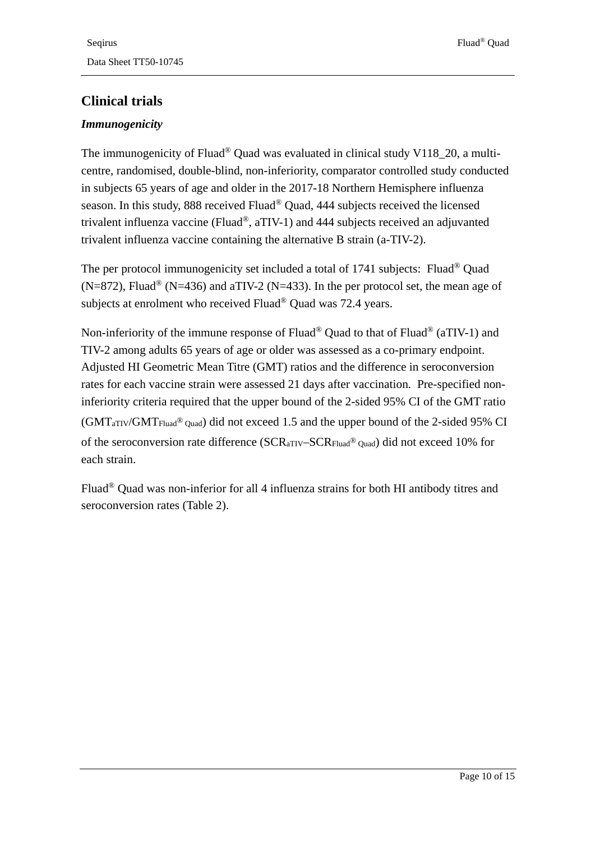### **Clinical trials**

#### *Immunogenicity*

The immunogenicity of Fluad<sup>®</sup> Quad was evaluated in clinical study V118 20, a multicentre, randomised, double-blind, non-inferiority, comparator controlled study conducted in subjects 65 years of age and older in the 2017-18 Northern Hemisphere influenza season. In this study, 888 received Fluad® Quad, 444 subjects received the licensed trivalent influenza vaccine (Fluad®, aTIV-1) and 444 subjects received an adjuvanted trivalent influenza vaccine containing the alternative B strain (a-TIV-2).

The per protocol immunogenicity set included a total of 1741 subjects: Fluad<sup>®</sup> Ouad  $(N=872)$ , Fluad<sup>®</sup> (N=436) and aTIV-2 (N=433). In the per protocol set, the mean age of subjects at enrolment who received Fluad<sup>®</sup> Ouad was 72.4 years.

Non-inferiority of the immune response of Fluad® Quad to that of Fluad® (aTIV-1) and TIV-2 among adults 65 years of age or older was assessed as a co-primary endpoint. Adjusted HI Geometric Mean Titre (GMT) ratios and the difference in seroconversion rates for each vaccine strain were assessed 21 days after vaccination. Pre-specified noninferiority criteria required that the upper bound of the 2-sided 95% CI of the GMT ratio (GMTaTIV/GMTFluad® Quad) did not exceed 1.5 and the upper bound of the 2-sided 95% CI of the seroconversion rate difference (SCRaTIV–SCRFluad® Quad) did not exceed 10% for each strain.

Fluad® Quad was non-inferior for all 4 influenza strains for both HI antibody titres and seroconversion rates [\(Table 2\)](#page-10-0).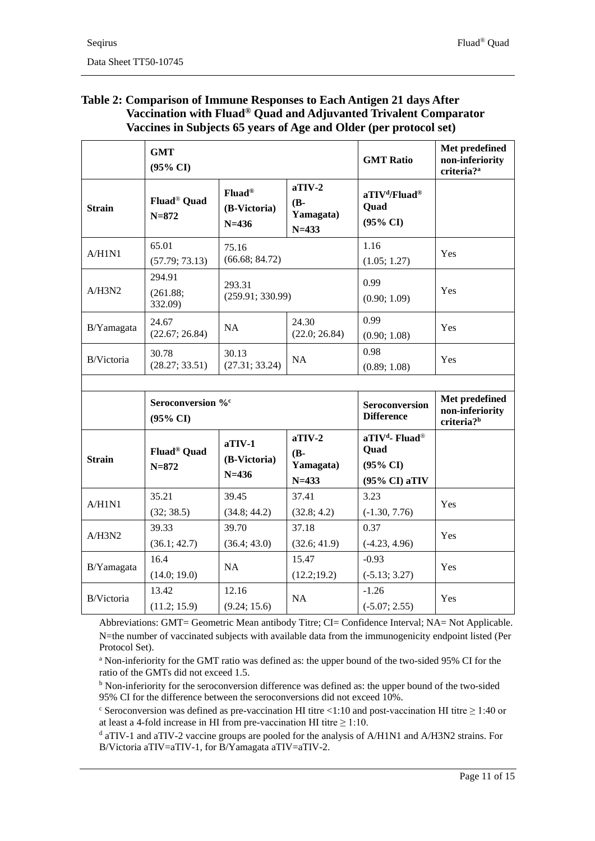#### <span id="page-10-0"></span>**Table 2: Comparison of Immune Responses to Each Antigen 21 days After Vaccination with Fluad® Quad and Adjuvanted Trivalent Comparator Vaccines in Subjects 65 years of Age and Older (per protocol set)**

|               | <b>GMT</b><br>$(95\% \text{ CI})$                    |                                        |                                              | <b>GMT Ratio</b>                                                                              | Met predefined<br>non-inferiority<br>criteria? <sup>a</sup> |
|---------------|------------------------------------------------------|----------------------------------------|----------------------------------------------|-----------------------------------------------------------------------------------------------|-------------------------------------------------------------|
| <b>Strain</b> | Fluad <sup>®</sup> Quad<br>$N = 872$                 | $Fluad^@$<br>(B-Victoria)<br>$N = 436$ | $aTV-2$<br>$(B -$<br>Yamagata)<br>$N = 433$  | aTIV <sup>d</sup> /Fluad <sup>®</sup><br><b>Quad</b><br>$(95\% \text{ CI})$                   |                                                             |
| A/H1N1        | 65.01<br>(57.79; 73.13)                              | 75.16<br>(66.68; 84.72)                |                                              | 1.16<br>(1.05; 1.27)                                                                          | Yes                                                         |
| A/H3N2        | 294.91<br>(261.88;<br>332.09)                        | 293.31<br>(259.91; 330.99)             |                                              | 0.99<br>(0.90; 1.09)                                                                          | Yes                                                         |
| B/Yamagata    | 24.67<br>(22.67; 26.84)                              | <b>NA</b>                              | 24.30<br>(22.0; 26.84)                       | 0.99<br>(0.90; 1.08)                                                                          | Yes                                                         |
| B/Victoria    | 30.78<br>(28.27; 33.51)                              | 30.13<br>(27.31; 33.24)                | <b>NA</b>                                    | 0.98<br>(0.89; 1.08)                                                                          | Yes                                                         |
|               |                                                      |                                        |                                              |                                                                                               |                                                             |
|               | Seroconversion % <sup>c</sup><br>$(95\% \text{ CI})$ |                                        |                                              | <b>Seroconversion</b><br><b>Difference</b>                                                    | Met predefined<br>non-inferiority<br>criteria? <sup>b</sup> |
| <b>Strain</b> | Fluad <sup>®</sup> Quad<br>$N = 872$                 | $aII$ V-1<br>(B-Victoria)<br>$N=436$   | $aTIV-2$<br>$(B -$<br>Yamagata)<br>$N = 433$ | aTIV <sup>d</sup> - Fluad <sup>®</sup><br><b>Quad</b><br>$(95\% \text{ CI})$<br>(95% CI) aTIV |                                                             |
| A/H1N1        | 35.21                                                | 39.45                                  | 37.41                                        | 3.23                                                                                          | Yes                                                         |
|               | (32; 38.5)                                           | (34.8; 44.2)                           | (32.8; 4.2)                                  | $(-1.30, 7.76)$                                                                               |                                                             |
| A/H3N2        | 39.33<br>(36.1; 42.7)                                | 39.70<br>(36.4; 43.0)                  | 37.18<br>(32.6; 41.9)                        | 0.37<br>$(-4.23, 4.96)$                                                                       | Yes                                                         |
| B/Yamagata    | 16.4<br>(14.0; 19.0)                                 | NA                                     | 15.47<br>(12.2; 19.2)                        | $-0.93$<br>$(-5.13; 3.27)$                                                                    | <b>Yes</b>                                                  |
| B/Victoria    | 13.42<br>(11.2; 15.9)                                | 12.16<br>(9.24; 15.6)                  | NA                                           | $-1.26$<br>$(-5.07; 2.55)$                                                                    | Yes                                                         |

Abbreviations: GMT= Geometric Mean antibody Titre; CI= Confidence Interval; NA= Not Applicable. N=the number of vaccinated subjects with available data from the immunogenicity endpoint listed (Per Protocol Set).

<sup>a</sup> Non-inferiority for the GMT ratio was defined as: the upper bound of the two-sided 95% CI for the ratio of the GMTs did not exceed 1.5.

<sup>b</sup> Non-inferiority for the seroconversion difference was defined as: the upper bound of the two-sided 95% CI for the difference between the seroconversions did not exceed 10%.

 $\textdegree$  Seroconversion was defined as pre-vaccination HI titre <1:10 and post-vaccination HI titre  $\geq$  1:40 or at least a 4-fold increase in HI from pre-vaccination HI titre  $\geq 1:10$ .

<sup>d</sup> aTIV-1 and aTIV-2 vaccine groups are pooled for the analysis of A/H1N1 and A/H3N2 strains. For B/Victoria aTIV=aTIV-1, for B/Yamagata aTIV=aTIV-2.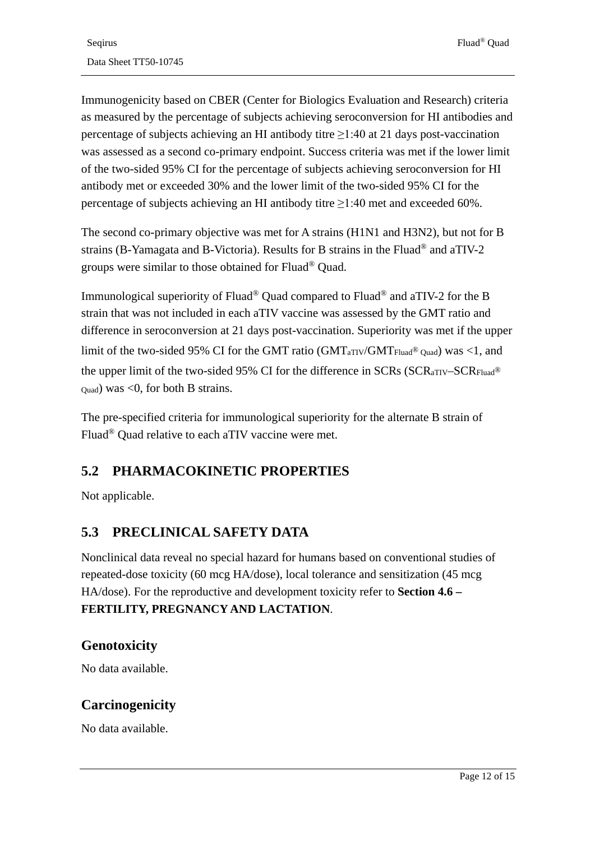Immunogenicity based on CBER (Center for Biologics Evaluation and Research) criteria as measured by the percentage of subjects achieving seroconversion for HI antibodies and percentage of subjects achieving an HI antibody titre  $\geq$ 1:40 at 21 days post-vaccination was assessed as a second co-primary endpoint. Success criteria was met if the lower limit of the two-sided 95% CI for the percentage of subjects achieving seroconversion for HI antibody met or exceeded 30% and the lower limit of the two-sided 95% CI for the percentage of subjects achieving an HI antibody titre ≥1:40 met and exceeded 60%.

The second co-primary objective was met for A strains (H1N1 and H3N2), but not for B strains (B-Yamagata and B-Victoria). Results for B strains in the Fluad® and aTIV-2 groups were similar to those obtained for Fluad® Quad.

Immunological superiority of Fluad® Quad compared to Fluad® and aTIV-2 for the B strain that was not included in each aTIV vaccine was assessed by the GMT ratio and difference in seroconversion at 21 days post-vaccination. Superiority was met if the upper limit of the two-sided 95% CI for the GMT ratio (GMT<sub>aTIV</sub>/GMT<sub>Fluad</sub>® <sub>Quad</sub>) was <1, and the upper limit of the two-sided 95% CI for the difference in SCRs (SCR<sub>aTIV</sub>–SCR<sub>Fluad®</sub>  $_{\text{Ouad}}$ ) was <0, for both B strains.

The pre-specified criteria for immunological superiority for the alternate B strain of Fluad® Quad relative to each aTIV vaccine were met.

## **5.2 PHARMACOKINETIC PROPERTIES**

Not applicable.

## **5.3 PRECLINICAL SAFETY DATA**

Nonclinical data reveal no special hazard for humans based on conventional studies of repeated-dose toxicity (60 mcg HA/dose), local tolerance and sensitization (45 mcg HA/dose). For the reproductive and development toxicity refer to **Section 4.6 – [FERTILITY, PREGNANCY AND LACTATION](#page-3-0)**.

### **Genotoxicity**

No data available.

### **Carcinogenicity**

No data available.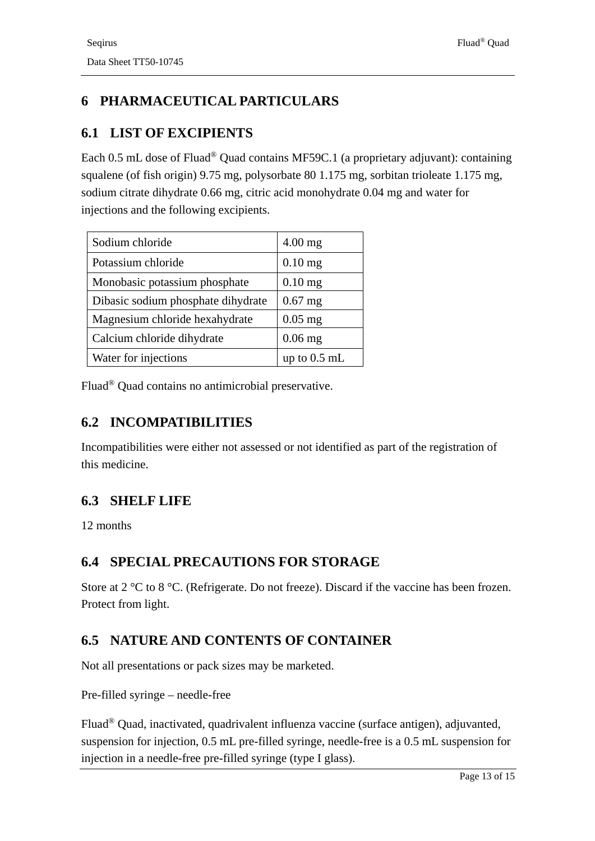# **6 PHARMACEUTICAL PARTICULARS**

### <span id="page-12-0"></span>**6.1 LIST OF EXCIPIENTS**

Each 0.5 mL dose of Fluad® Quad contains MF59C.1 (a proprietary adjuvant): containing squalene (of fish origin) 9.75 mg, polysorbate 80 1.175 mg, sorbitan trioleate 1.175 mg, sodium citrate dihydrate 0.66 mg, citric acid monohydrate 0.04 mg and water for injections and the following excipients.

| Sodium chloride                    | $4.00$ mg      |
|------------------------------------|----------------|
| Potassium chloride                 | $0.10$ mg      |
| Monobasic potassium phosphate      | $0.10$ mg      |
| Dibasic sodium phosphate dihydrate | $0.67$ mg      |
| Magnesium chloride hexahydrate     | $0.05$ mg      |
| Calcium chloride dihydrate         | $0.06$ mg      |
| Water for injections               | up to $0.5$ mL |

Fluad® Quad contains no antimicrobial preservative.

## **6.2 INCOMPATIBILITIES**

Incompatibilities were either not assessed or not identified as part of the registration of this medicine.

## **6.3 SHELF LIFE**

12 months

### **6.4 SPECIAL PRECAUTIONS FOR STORAGE**

Store at 2 °C to 8 °C. (Refrigerate. Do not freeze). Discard if the vaccine has been frozen. Protect from light.

## <span id="page-12-1"></span>**6.5 NATURE AND CONTENTS OF CONTAINER**

Not all presentations or pack sizes may be marketed.

Pre-filled syringe – needle-free

Fluad® Quad, inactivated, quadrivalent influenza vaccine (surface antigen), adjuvanted, suspension for injection, 0.5 mL pre-filled syringe, needle-free is a 0.5 mL suspension for injection in a needle-free pre-filled syringe (type I glass).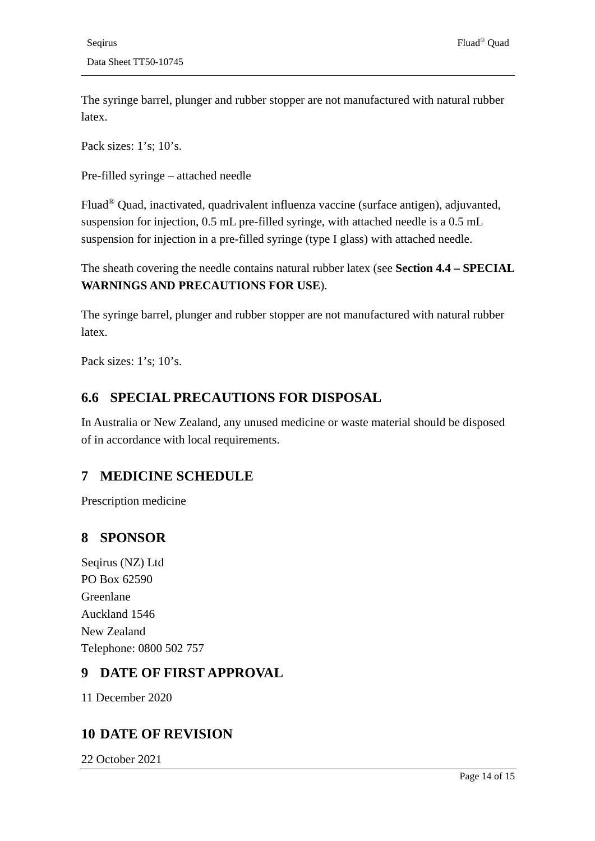The syringe barrel, plunger and rubber stopper are not manufactured with natural rubber latex.

Pack sizes: 1's; 10's.

Pre-filled syringe – attached needle

Fluad® Quad, inactivated, quadrivalent influenza vaccine (surface antigen), adjuvanted, suspension for injection, 0.5 mL pre-filled syringe, with attached needle is a 0.5 mL suspension for injection in a pre-filled syringe (type I glass) with attached needle.

The sheath covering the needle contains natural rubber latex (see **Section 4.4 – [SPECIAL](#page-2-0)  [WARNINGS AND PRECAUTIONS FOR USE](#page-2-0)**).

The syringe barrel, plunger and rubber stopper are not manufactured with natural rubber latex.

Pack sizes: 1's; 10's.

### **6.6 SPECIAL PRECAUTIONS FOR DISPOSAL**

In Australia or New Zealand, any unused medicine or waste material should be disposed of in accordance with local requirements.

### **7 MEDICINE SCHEDULE**

Prescription medicine

### **8 SPONSOR**

Seqirus (NZ) Ltd PO Box 62590 Greenlane Auckland 1546 New Zealand Telephone: 0800 502 757

### **9 DATE OF FIRST APPROVAL**

11 December 2020

### **10 DATE OF REVISION**

22 October 2021